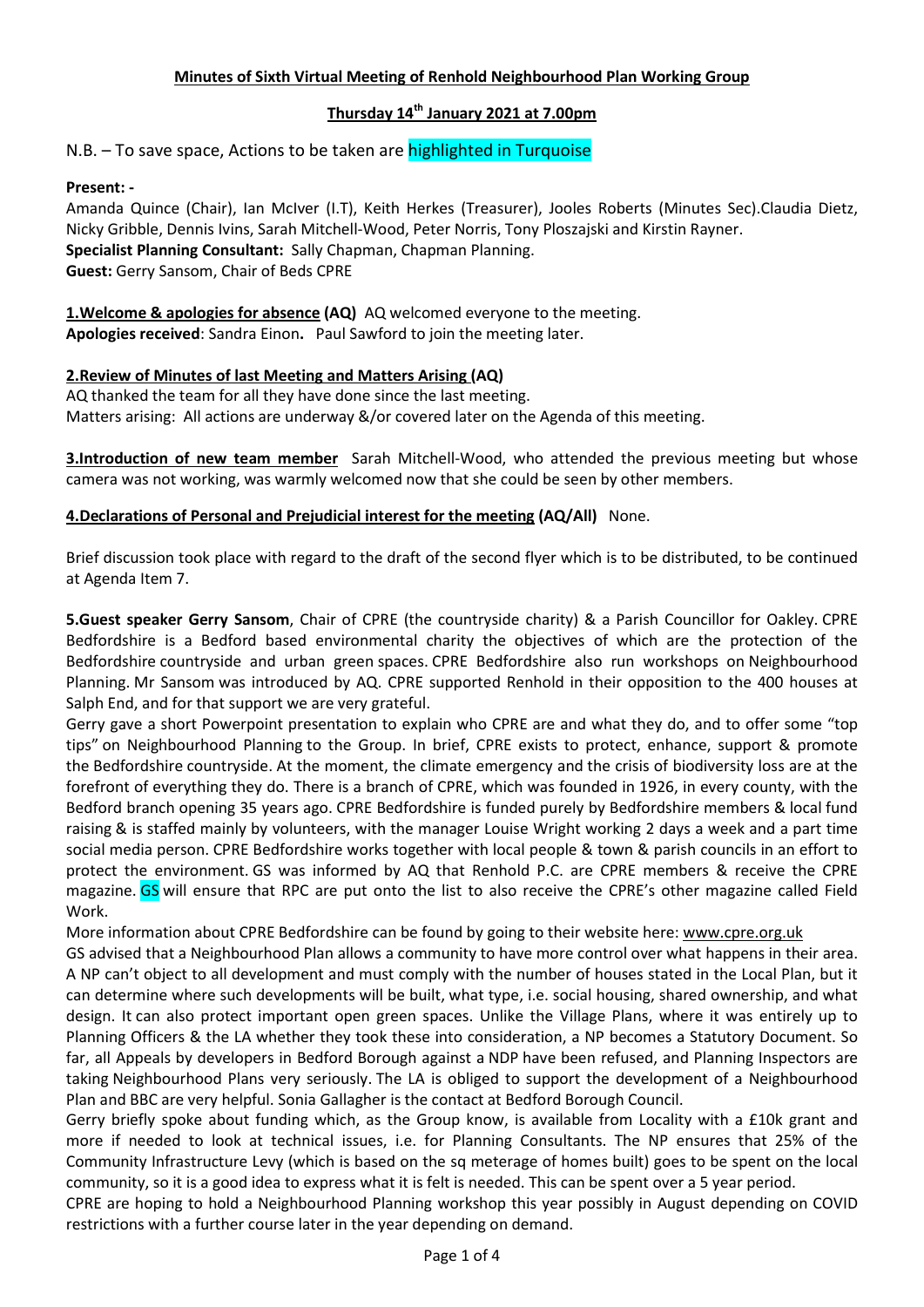### Minutes of Sixth Virtual Meeting of Renhold Neighbourhood Plan Working Group

## Thursday 14<sup>th</sup> January 2021 at 7.00pm

N.B. – To save space, Actions to be taken are highlighted in Turquoise

## Present: -

Amanda Quince (Chair), Ian McIver (I.T), Keith Herkes (Treasurer), Jooles Roberts (Minutes Sec).Claudia Dietz, Nicky Gribble, Dennis Ivins, Sarah Mitchell-Wood, Peter Norris, Tony Ploszajski and Kirstin Rayner. Specialist Planning Consultant: Sally Chapman, Chapman Planning. Guest: Gerry Sansom, Chair of Beds CPRE

1. Welcome & apologies for absence (AQ) AQ welcomed everyone to the meeting. Apologies received: Sandra Einon. Paul Sawford to join the meeting later.

#### 2.Review of Minutes of last Meeting and Matters Arising (AQ)

AQ thanked the team for all they have done since the last meeting. Matters arising: All actions are underway &/or covered later on the Agenda of this meeting.

**3.Introduction of new team member** Sarah Mitchell-Wood, who attended the previous meeting but whose camera was not working, was warmly welcomed now that she could be seen by other members.

#### 4. Declarations of Personal and Prejudicial interest for the meeting (AQ/All) None.

Brief discussion took place with regard to the draft of the second flyer which is to be distributed, to be continued at Agenda Item 7.

5.Guest speaker Gerry Sansom, Chair of CPRE (the countryside charity) & a Parish Councillor for Oakley. CPRE Bedfordshire is a Bedford based environmental charity the objectives of which are the protection of the Bedfordshire countryside and urban green spaces. CPRE Bedfordshire also run workshops on Neighbourhood Planning. Mr Sansom was introduced by AQ. CPRE supported Renhold in their opposition to the 400 houses at Salph End, and for that support we are very grateful.

Gerry gave a short Powerpoint presentation to explain who CPRE are and what they do, and to offer some "top tips" on Neighbourhood Planning to the Group. In brief, CPRE exists to protect, enhance, support & promote the Bedfordshire countryside. At the moment, the climate emergency and the crisis of biodiversity loss are at the forefront of everything they do. There is a branch of CPRE, which was founded in 1926, in every county, with the Bedford branch opening 35 years ago. CPRE Bedfordshire is funded purely by Bedfordshire members & local fund raising & is staffed mainly by volunteers, with the manager Louise Wright working 2 days a week and a part time social media person. CPRE Bedfordshire works together with local people & town & parish councils in an effort to protect the environment. GS was informed by AQ that Renhold P.C. are CPRE members & receive the CPRE magazine. GS will ensure that RPC are put onto the list to also receive the CPRE's other magazine called Field Work.

More information about CPRE Bedfordshire can be found by going to their website here: www.cpre.org.uk

GS advised that a Neighbourhood Plan allows a community to have more control over what happens in their area. A NP can't object to all development and must comply with the number of houses stated in the Local Plan, but it can determine where such developments will be built, what type, i.e. social housing, shared ownership, and what design. It can also protect important open green spaces. Unlike the Village Plans, where it was entirely up to Planning Officers & the LA whether they took these into consideration, a NP becomes a Statutory Document. So far, all Appeals by developers in Bedford Borough against a NDP have been refused, and Planning Inspectors are taking Neighbourhood Plans very seriously. The LA is obliged to support the development of a Neighbourhood Plan and BBC are very helpful. Sonia Gallagher is the contact at Bedford Borough Council.

Gerry briefly spoke about funding which, as the Group know, is available from Locality with a £10k grant and more if needed to look at technical issues, i.e. for Planning Consultants. The NP ensures that 25% of the Community Infrastructure Levy (which is based on the sq meterage of homes built) goes to be spent on the local community, so it is a good idea to express what it is felt is needed. This can be spent over a 5 year period.

CPRE are hoping to hold a Neighbourhood Planning workshop this year possibly in August depending on COVID restrictions with a further course later in the year depending on demand.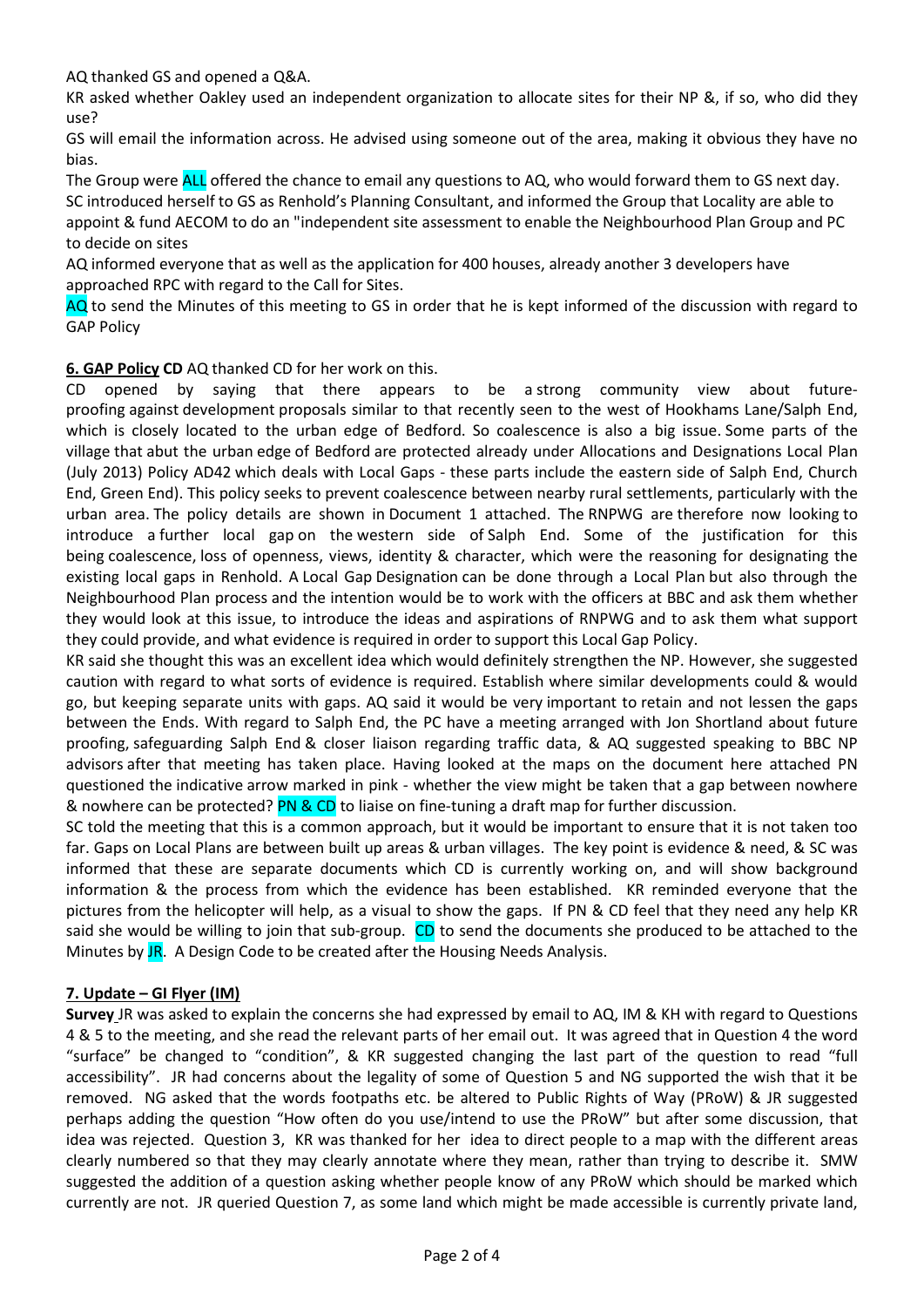AQ thanked GS and opened a Q&A.

KR asked whether Oakley used an independent organization to allocate sites for their NP &, if so, who did they use?

GS will email the information across. He advised using someone out of the area, making it obvious they have no bias.

The Group were **ALL** offered the chance to email any questions to AQ, who would forward them to GS next day. SC introduced herself to GS as Renhold's Planning Consultant, and informed the Group that Locality are able to appoint & fund AECOM to do an "independent site assessment to enable the Neighbourhood Plan Group and PC to decide on sites

AQ informed everyone that as well as the application for 400 houses, already another 3 developers have approached RPC with regard to the Call for Sites.

AQ to send the Minutes of this meeting to GS in order that he is kept informed of the discussion with regard to GAP Policy

6. GAP Policy CD AQ thanked CD for her work on this.

CD opened by saying that there appears to be a strong community view about futureproofing against development proposals similar to that recently seen to the west of Hookhams Lane/Salph End, which is closely located to the urban edge of Bedford. So coalescence is also a big issue. Some parts of the village that abut the urban edge of Bedford are protected already under Allocations and Designations Local Plan (July 2013) Policy AD42 which deals with Local Gaps - these parts include the eastern side of Salph End, Church End, Green End). This policy seeks to prevent coalescence between nearby rural settlements, particularly with the urban area. The policy details are shown in Document 1 attached. The RNPWG are therefore now looking to introduce a further local gap on the western side of Salph End. Some of the justification for this being coalescence, loss of openness, views, identity & character, which were the reasoning for designating the existing local gaps in Renhold. A Local Gap Designation can be done through a Local Plan but also through the Neighbourhood Plan process and the intention would be to work with the officers at BBC and ask them whether they would look at this issue, to introduce the ideas and aspirations of RNPWG and to ask them what support they could provide, and what evidence is required in order to support this Local Gap Policy.

KR said she thought this was an excellent idea which would definitely strengthen the NP. However, she suggested caution with regard to what sorts of evidence is required. Establish where similar developments could & would go, but keeping separate units with gaps. AQ said it would be very important to retain and not lessen the gaps between the Ends. With regard to Salph End, the PC have a meeting arranged with Jon Shortland about future proofing, safeguarding Salph End & closer liaison regarding traffic data, & AQ suggested speaking to BBC NP advisors after that meeting has taken place. Having looked at the maps on the document here attached PN questioned the indicative arrow marked in pink - whether the view might be taken that a gap between nowhere & nowhere can be protected? PN & CD to liaise on fine-tuning a draft map for further discussion.

SC told the meeting that this is a common approach, but it would be important to ensure that it is not taken too far. Gaps on Local Plans are between built up areas & urban villages. The key point is evidence & need, & SC was informed that these are separate documents which CD is currently working on, and will show background information & the process from which the evidence has been established. KR reminded everyone that the pictures from the helicopter will help, as a visual to show the gaps. If PN & CD feel that they need any help KR said she would be willing to join that sub-group. CD to send the documents she produced to be attached to the Minutes by JR. A Design Code to be created after the Housing Needs Analysis.

## 7. Update – GI Flyer (IM)

Survey JR was asked to explain the concerns she had expressed by email to AQ, IM & KH with regard to Questions 4 & 5 to the meeting, and she read the relevant parts of her email out. It was agreed that in Question 4 the word "surface" be changed to "condition", & KR suggested changing the last part of the question to read "full accessibility". JR had concerns about the legality of some of Question 5 and NG supported the wish that it be removed. NG asked that the words footpaths etc. be altered to Public Rights of Way (PRoW) & JR suggested perhaps adding the question "How often do you use/intend to use the PRoW" but after some discussion, that idea was rejected. Question 3, KR was thanked for her idea to direct people to a map with the different areas clearly numbered so that they may clearly annotate where they mean, rather than trying to describe it. SMW suggested the addition of a question asking whether people know of any PRoW which should be marked which currently are not. JR queried Question 7, as some land which might be made accessible is currently private land,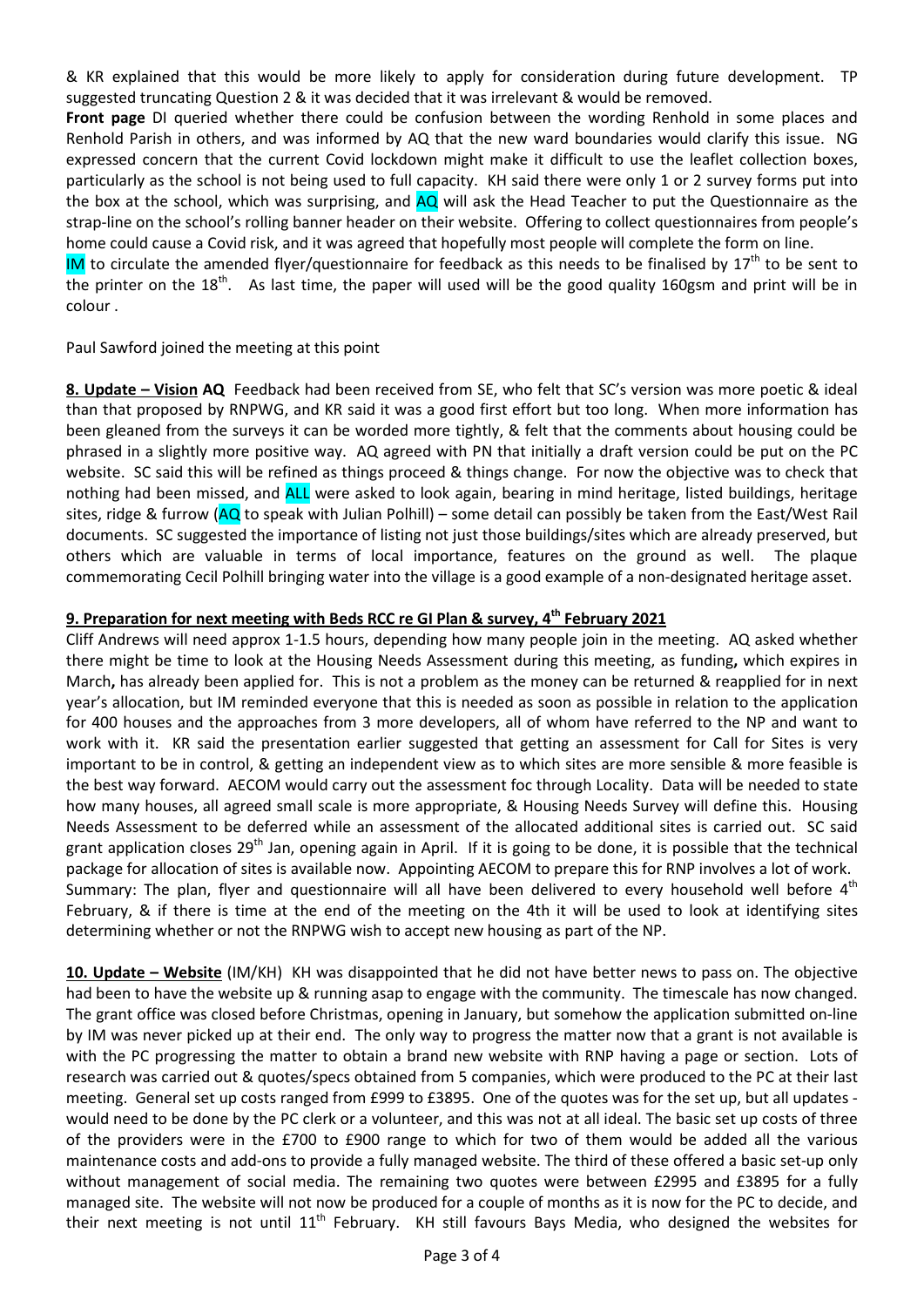& KR explained that this would be more likely to apply for consideration during future development. TP suggested truncating Question 2 & it was decided that it was irrelevant & would be removed.

Front page DI queried whether there could be confusion between the wording Renhold in some places and Renhold Parish in others, and was informed by AQ that the new ward boundaries would clarify this issue. NG expressed concern that the current Covid lockdown might make it difficult to use the leaflet collection boxes, particularly as the school is not being used to full capacity. KH said there were only 1 or 2 survey forms put into the box at the school, which was surprising, and  $AQ$  will ask the Head Teacher to put the Questionnaire as the strap-line on the school's rolling banner header on their website. Offering to collect questionnaires from people's home could cause a Covid risk, and it was agreed that hopefully most people will complete the form on line.

IM to circulate the amended flyer/questionnaire for feedback as this needs to be finalised by  $17<sup>th</sup>$  to be sent to the printer on the  $18<sup>th</sup>$ . As last time, the paper will used will be the good quality 160gsm and print will be in colour .

Paul Sawford joined the meeting at this point

8. Update – Vision AQ Feedback had been received from SE, who felt that SC's version was more poetic & ideal than that proposed by RNPWG, and KR said it was a good first effort but too long. When more information has been gleaned from the surveys it can be worded more tightly, & felt that the comments about housing could be phrased in a slightly more positive way. AQ agreed with PN that initially a draft version could be put on the PC website. SC said this will be refined as things proceed & things change. For now the objective was to check that nothing had been missed, and ALL were asked to look again, bearing in mind heritage, listed buildings, heritage sites, ridge & furrow (AQ to speak with Julian Polhill) – some detail can possibly be taken from the East/West Rail documents. SC suggested the importance of listing not just those buildings/sites which are already preserved, but others which are valuable in terms of local importance, features on the ground as well. The plaque commemorating Cecil Polhill bringing water into the village is a good example of a non-designated heritage asset.

# 9. Preparation for next meeting with Beds RCC re GI Plan & survey, 4<sup>th</sup> February 2021

Cliff Andrews will need approx 1-1.5 hours, depending how many people join in the meeting. AQ asked whether there might be time to look at the Housing Needs Assessment during this meeting, as funding, which expires in March, has already been applied for. This is not a problem as the money can be returned & reapplied for in next year's allocation, but IM reminded everyone that this is needed as soon as possible in relation to the application for 400 houses and the approaches from 3 more developers, all of whom have referred to the NP and want to work with it. KR said the presentation earlier suggested that getting an assessment for Call for Sites is very important to be in control, & getting an independent view as to which sites are more sensible & more feasible is the best way forward. AECOM would carry out the assessment foc through Locality. Data will be needed to state how many houses, all agreed small scale is more appropriate, & Housing Needs Survey will define this. Housing Needs Assessment to be deferred while an assessment of the allocated additional sites is carried out. SC said grant application closes  $29^{th}$  Jan, opening again in April. If it is going to be done, it is possible that the technical package for allocation of sites is available now. Appointing AECOM to prepare this for RNP involves a lot of work. Summary: The plan, flyer and questionnaire will all have been delivered to every household well before 4<sup>th</sup> February, & if there is time at the end of the meeting on the 4th it will be used to look at identifying sites determining whether or not the RNPWG wish to accept new housing as part of the NP.

10. Update – Website (IM/KH) KH was disappointed that he did not have better news to pass on. The objective had been to have the website up & running asap to engage with the community. The timescale has now changed. The grant office was closed before Christmas, opening in January, but somehow the application submitted on-line by IM was never picked up at their end. The only way to progress the matter now that a grant is not available is with the PC progressing the matter to obtain a brand new website with RNP having a page or section. Lots of research was carried out & quotes/specs obtained from 5 companies, which were produced to the PC at their last meeting. General set up costs ranged from £999 to £3895. One of the quotes was for the set up, but all updates would need to be done by the PC clerk or a volunteer, and this was not at all ideal. The basic set up costs of three of the providers were in the £700 to £900 range to which for two of them would be added all the various maintenance costs and add-ons to provide a fully managed website. The third of these offered a basic set-up only without management of social media. The remaining two quotes were between £2995 and £3895 for a fully managed site. The website will not now be produced for a couple of months as it is now for the PC to decide, and their next meeting is not until 11<sup>th</sup> February. KH still favours Bays Media, who designed the websites for